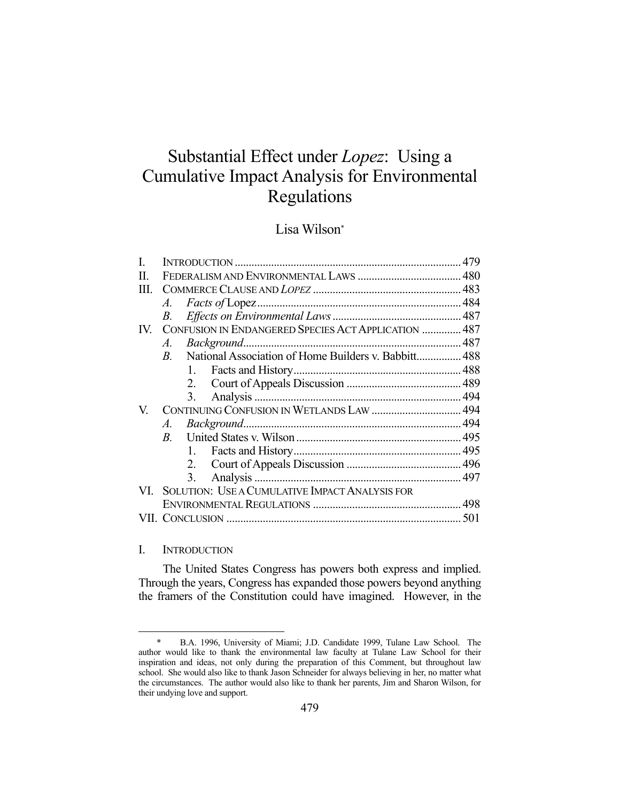# Substantial Effect under *Lopez*: Using a Cumulative Impact Analysis for Environmental Regulations

# Lisa Wilson\*

| Π.            |                                                      |    |                                                         |  |
|---------------|------------------------------------------------------|----|---------------------------------------------------------|--|
| HL.           |                                                      |    |                                                         |  |
|               | A.                                                   |    |                                                         |  |
|               | В.                                                   |    |                                                         |  |
| $\mathbf{IV}$ | CONFUSION IN ENDANGERED SPECIES ACT APPLICATION  487 |    |                                                         |  |
|               | $A_{\cdot}$                                          |    |                                                         |  |
|               |                                                      |    | B. National Association of Home Builders v. Babbitt 488 |  |
|               |                                                      | 1. |                                                         |  |
|               |                                                      | 2. |                                                         |  |
|               |                                                      | 3. |                                                         |  |
| V.            | CONTINUING CONFUSION IN WETLANDS LAW  494            |    |                                                         |  |
|               | A.                                                   |    |                                                         |  |
|               |                                                      |    |                                                         |  |
|               |                                                      | 1. |                                                         |  |
|               |                                                      |    |                                                         |  |
|               |                                                      | 3. |                                                         |  |
|               |                                                      |    | VI. SOLUTION: USE A CUMULATIVE IMPACT ANALYSIS FOR      |  |
|               |                                                      |    |                                                         |  |
|               |                                                      |    |                                                         |  |
|               |                                                      |    |                                                         |  |

# I. INTRODUCTION

1

 The United States Congress has powers both express and implied. Through the years, Congress has expanded those powers beyond anything the framers of the Constitution could have imagined. However, in the

 <sup>\*</sup> B.A. 1996, University of Miami; J.D. Candidate 1999, Tulane Law School. The author would like to thank the environmental law faculty at Tulane Law School for their inspiration and ideas, not only during the preparation of this Comment, but throughout law school. She would also like to thank Jason Schneider for always believing in her, no matter what the circumstances. The author would also like to thank her parents, Jim and Sharon Wilson, for their undying love and support.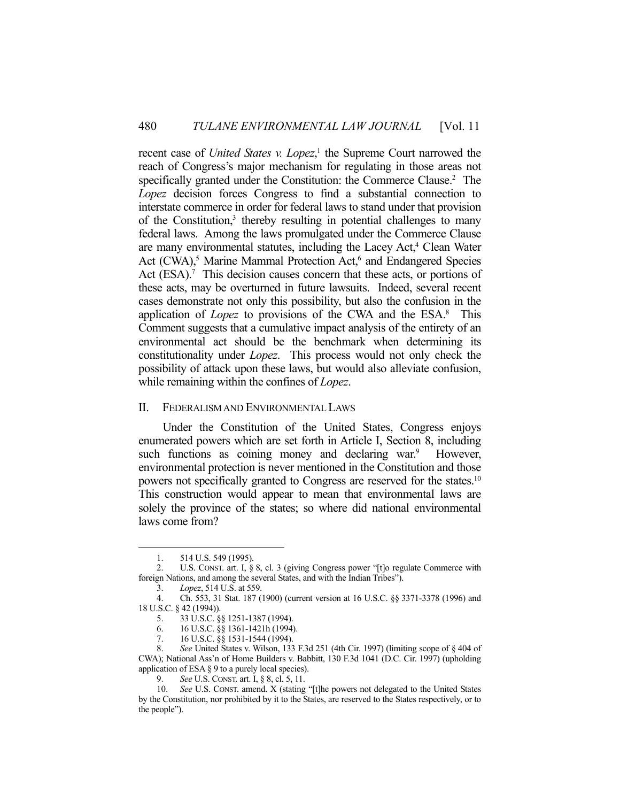recent case of *United States v. Lopez*,<sup>1</sup> the Supreme Court narrowed the reach of Congress's major mechanism for regulating in those areas not specifically granted under the Constitution: the Commerce Clause.<sup>2</sup> The *Lopez* decision forces Congress to find a substantial connection to interstate commerce in order for federal laws to stand under that provision of the Constitution,<sup>3</sup> thereby resulting in potential challenges to many federal laws. Among the laws promulgated under the Commerce Clause are many environmental statutes, including the Lacey Act,<sup>4</sup> Clean Water Act (CWA),<sup>5</sup> Marine Mammal Protection Act,<sup>6</sup> and Endangered Species Act (ESA).<sup>7</sup> This decision causes concern that these acts, or portions of these acts, may be overturned in future lawsuits. Indeed, several recent cases demonstrate not only this possibility, but also the confusion in the application of *Lopez* to provisions of the CWA and the ESA.<sup>8</sup> This Comment suggests that a cumulative impact analysis of the entirety of an environmental act should be the benchmark when determining its constitutionality under *Lopez*. This process would not only check the possibility of attack upon these laws, but would also alleviate confusion, while remaining within the confines of *Lopez*.

# II. FEDERALISM AND ENVIRONMENTAL LAWS

 Under the Constitution of the United States, Congress enjoys enumerated powers which are set forth in Article I, Section 8, including such functions as coining money and declaring war.<sup>9</sup> However, environmental protection is never mentioned in the Constitution and those powers not specifically granted to Congress are reserved for the states.10 This construction would appear to mean that environmental laws are solely the province of the states; so where did national environmental laws come from?

 <sup>1. 514</sup> U.S. 549 (1995).

 <sup>2.</sup> U.S. CONST. art. I, § 8, cl. 3 (giving Congress power "[t]o regulate Commerce with foreign Nations, and among the several States, and with the Indian Tribes").

 <sup>3.</sup> *Lopez*, 514 U.S. at 559.

 <sup>4.</sup> Ch. 553, 31 Stat. 187 (1900) (current version at 16 U.S.C. §§ 3371-3378 (1996) and 18 U.S.C. § 42 (1994)).

 <sup>5. 33</sup> U.S.C. §§ 1251-1387 (1994).

 <sup>6. 16</sup> U.S.C. §§ 1361-1421h (1994).

 <sup>7. 16</sup> U.S.C. §§ 1531-1544 (1994).

 <sup>8.</sup> *See* United States v. Wilson, 133 F.3d 251 (4th Cir. 1997) (limiting scope of § 404 of CWA); National Ass'n of Home Builders v. Babbitt, 130 F.3d 1041 (D.C. Cir. 1997) (upholding application of ESA § 9 to a purely local species).

 <sup>9.</sup> *See* U.S. CONST. art. I, § 8, cl. 5, 11.

 <sup>10.</sup> *See* U.S. CONST. amend. X (stating "[t]he powers not delegated to the United States by the Constitution, nor prohibited by it to the States, are reserved to the States respectively, or to the people").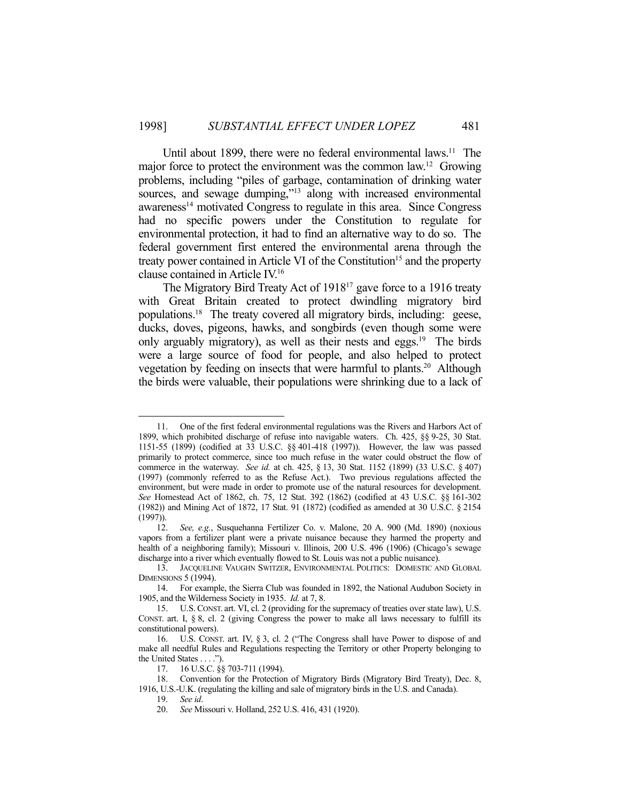Until about 1899, there were no federal environmental laws.<sup>11</sup> The major force to protect the environment was the common law.<sup>12</sup> Growing problems, including "piles of garbage, contamination of drinking water sources, and sewage dumping,"<sup>13</sup> along with increased environmental awareness<sup>14</sup> motivated Congress to regulate in this area. Since Congress had no specific powers under the Constitution to regulate for environmental protection, it had to find an alternative way to do so. The federal government first entered the environmental arena through the treaty power contained in Article VI of the Constitution<sup>15</sup> and the property clause contained in Article IV.16

The Migratory Bird Treaty Act of 1918<sup>17</sup> gave force to a 1916 treaty with Great Britain created to protect dwindling migratory bird populations.18 The treaty covered all migratory birds, including: geese, ducks, doves, pigeons, hawks, and songbirds (even though some were only arguably migratory), as well as their nests and eggs.<sup>19</sup> The birds were a large source of food for people, and also helped to protect vegetation by feeding on insects that were harmful to plants.<sup>20</sup> Although the birds were valuable, their populations were shrinking due to a lack of

 <sup>11.</sup> One of the first federal environmental regulations was the Rivers and Harbors Act of 1899, which prohibited discharge of refuse into navigable waters. Ch. 425, §§ 9-25, 30 Stat. 1151-55 (1899) (codified at 33 U.S.C. §§ 401-418 (1997)). However, the law was passed primarily to protect commerce, since too much refuse in the water could obstruct the flow of commerce in the waterway. *See id.* at ch. 425, § 13, 30 Stat. 1152 (1899) (33 U.S.C. § 407) (1997) (commonly referred to as the Refuse Act.). Two previous regulations affected the environment, but were made in order to promote use of the natural resources for development. *See* Homestead Act of 1862, ch. 75, 12 Stat. 392 (1862) (codified at 43 U.S.C. §§ 161-302 (1982)) and Mining Act of 1872, 17 Stat. 91 (1872) (codified as amended at 30 U.S.C. § 2154  $(1997)$ ).

 <sup>12.</sup> *See, e.g.*, Susquehanna Fertilizer Co. v. Malone, 20 A. 900 (Md. 1890) (noxious vapors from a fertilizer plant were a private nuisance because they harmed the property and health of a neighboring family); Missouri v. Illinois, 200 U.S. 496 (1906) (Chicago's sewage discharge into a river which eventually flowed to St. Louis was not a public nuisance).

 <sup>13.</sup> JACQUELINE VAUGHN SWITZER, ENVIRONMENTAL POLITICS: DOMESTIC AND GLOBAL DIMENSIONS 5 (1994).

 <sup>14.</sup> For example, the Sierra Club was founded in 1892, the National Audubon Society in 1905, and the Wilderness Society in 1935. *Id.* at 7, 8.

 <sup>15.</sup> U.S. CONST. art. VI, cl. 2 (providing for the supremacy of treaties over state law), U.S. CONST. art. I, § 8, cl. 2 (giving Congress the power to make all laws necessary to fulfill its constitutional powers).

 <sup>16.</sup> U.S. CONST. art. IV, § 3, cl. 2 ("The Congress shall have Power to dispose of and make all needful Rules and Regulations respecting the Territory or other Property belonging to the United States . . . .").

 <sup>17. 16</sup> U.S.C. §§ 703-711 (1994).

 <sup>18.</sup> Convention for the Protection of Migratory Birds (Migratory Bird Treaty), Dec. 8, 1916, U.S.-U.K. (regulating the killing and sale of migratory birds in the U.S. and Canada).

 <sup>19.</sup> *See id*.

 <sup>20.</sup> *See* Missouri v. Holland, 252 U.S. 416, 431 (1920).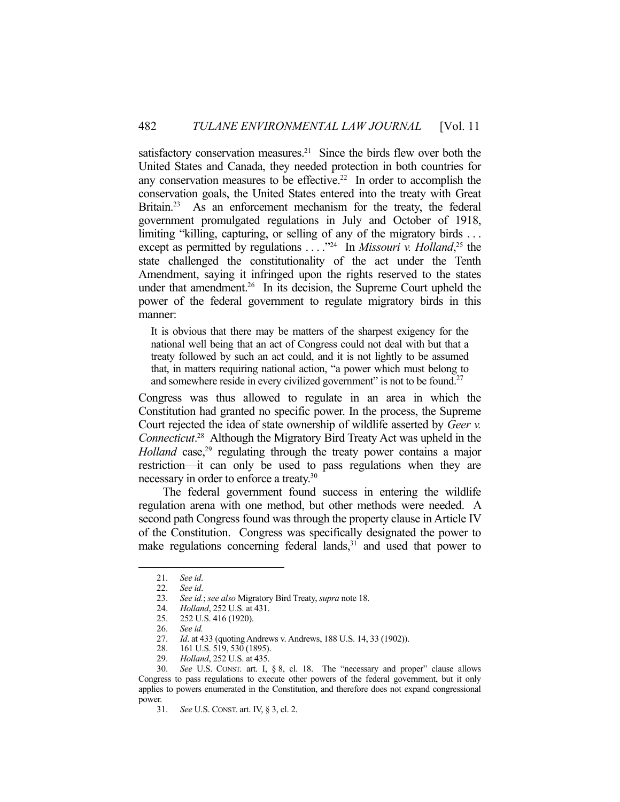satisfactory conservation measures.<sup>21</sup> Since the birds flew over both the United States and Canada, they needed protection in both countries for any conservation measures to be effective.<sup>22</sup> In order to accomplish the conservation goals, the United States entered into the treaty with Great Britain.<sup>23</sup> As an enforcement mechanism for the treaty, the federal government promulgated regulations in July and October of 1918, limiting "killing, capturing, or selling of any of the migratory birds . . . except as permitted by regulations . . . .<sup>324</sup> In *Missouri v. Holland*<sup>25</sup>, the state challenged the constitutionality of the act under the Tenth Amendment, saying it infringed upon the rights reserved to the states under that amendment.<sup>26</sup> In its decision, the Supreme Court upheld the power of the federal government to regulate migratory birds in this manner:

It is obvious that there may be matters of the sharpest exigency for the national well being that an act of Congress could not deal with but that a treaty followed by such an act could, and it is not lightly to be assumed that, in matters requiring national action, "a power which must belong to and somewhere reside in every civilized government" is not to be found.<sup>27</sup>

Congress was thus allowed to regulate in an area in which the Constitution had granted no specific power. In the process, the Supreme Court rejected the idea of state ownership of wildlife asserted by *Geer v. Connecticut*. 28 Although the Migratory Bird Treaty Act was upheld in the *Holland* case,<sup>29</sup> regulating through the treaty power contains a major restriction—it can only be used to pass regulations when they are necessary in order to enforce a treaty.30

 The federal government found success in entering the wildlife regulation arena with one method, but other methods were needed. A second path Congress found was through the property clause in Article IV of the Constitution. Congress was specifically designated the power to make regulations concerning federal lands,<sup>31</sup> and used that power to

 <sup>21.</sup> *See id*.

 <sup>22.</sup> *See id*.

 <sup>23.</sup> *See id.*; *see also* Migratory Bird Treaty, *supra* note 18.

 <sup>24.</sup> *Holland*, 252 U.S. at 431.

 <sup>25. 252</sup> U.S. 416 (1920).

 <sup>26.</sup> *See id.*

 <sup>27.</sup> *Id*. at 433 (quoting Andrews v. Andrews, 188 U.S. 14, 33 (1902)).

 <sup>28. 161</sup> U.S. 519, 530 (1895).

 <sup>29.</sup> *Holland*, 252 U.S. at 435.

 <sup>30.</sup> *See* U.S. CONST. art. I, § 8, cl. 18. The "necessary and proper" clause allows Congress to pass regulations to execute other powers of the federal government, but it only applies to powers enumerated in the Constitution, and therefore does not expand congressional power.

 <sup>31.</sup> *See* U.S. CONST. art. IV, § 3, cl. 2.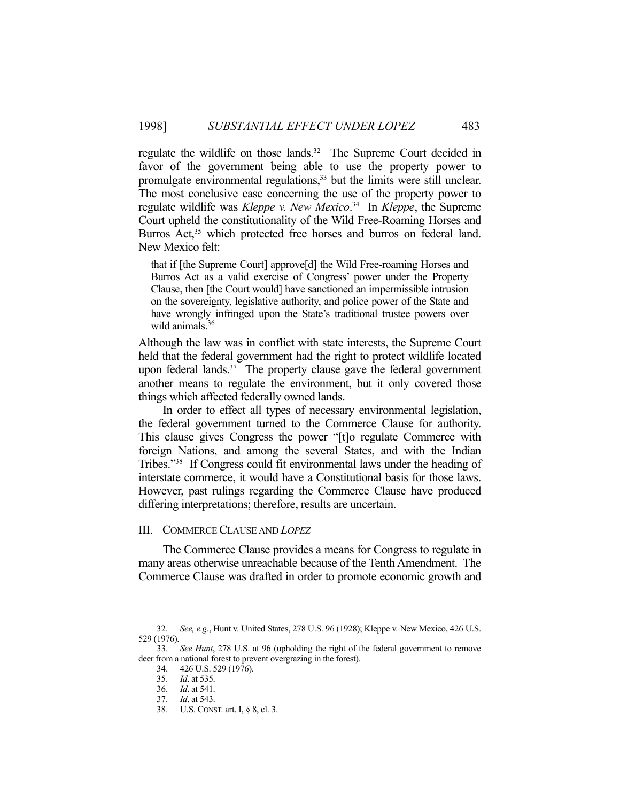regulate the wildlife on those lands.<sup>32</sup> The Supreme Court decided in favor of the government being able to use the property power to promulgate environmental regulations,<sup>33</sup> but the limits were still unclear. The most conclusive case concerning the use of the property power to regulate wildlife was *Kleppe v. New Mexico*. 34 In *Kleppe*, the Supreme Court upheld the constitutionality of the Wild Free-Roaming Horses and Burros Act,<sup>35</sup> which protected free horses and burros on federal land. New Mexico felt:

that if [the Supreme Court] approve[d] the Wild Free-roaming Horses and Burros Act as a valid exercise of Congress' power under the Property Clause, then [the Court would] have sanctioned an impermissible intrusion on the sovereignty, legislative authority, and police power of the State and have wrongly infringed upon the State's traditional trustee powers over wild animals.<sup>36</sup>

Although the law was in conflict with state interests, the Supreme Court held that the federal government had the right to protect wildlife located upon federal lands. $37$  The property clause gave the federal government another means to regulate the environment, but it only covered those things which affected federally owned lands.

 In order to effect all types of necessary environmental legislation, the federal government turned to the Commerce Clause for authority. This clause gives Congress the power "[t]o regulate Commerce with foreign Nations, and among the several States, and with the Indian Tribes."38 If Congress could fit environmental laws under the heading of interstate commerce, it would have a Constitutional basis for those laws. However, past rulings regarding the Commerce Clause have produced differing interpretations; therefore, results are uncertain.

#### III. COMMERCE CLAUSE AND *LOPEZ*

 The Commerce Clause provides a means for Congress to regulate in many areas otherwise unreachable because of the Tenth Amendment. The Commerce Clause was drafted in order to promote economic growth and

 <sup>32.</sup> *See, e.g.*, Hunt v. United States, 278 U.S. 96 (1928); Kleppe v. New Mexico, 426 U.S. 529 (1976).

 <sup>33.</sup> *See Hunt*, 278 U.S. at 96 (upholding the right of the federal government to remove deer from a national forest to prevent overgrazing in the forest).

 <sup>34. 426</sup> U.S. 529 (1976).

 <sup>35.</sup> *Id*. at 535.

 <sup>36.</sup> *Id*. at 541.

 <sup>37.</sup> *Id*. at 543.

 <sup>38.</sup> U.S. CONST. art. I, § 8, cl. 3.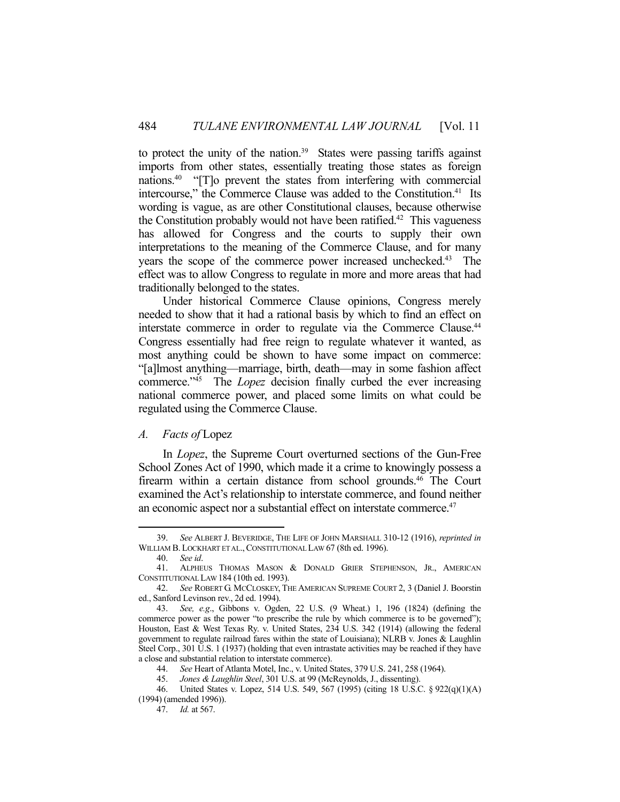to protect the unity of the nation.<sup>39</sup> States were passing tariffs against imports from other states, essentially treating those states as foreign nations.40 "[T]o prevent the states from interfering with commercial intercourse," the Commerce Clause was added to the Constitution.<sup>41</sup> Its wording is vague, as are other Constitutional clauses, because otherwise the Constitution probably would not have been ratified.<sup>42</sup> This vagueness has allowed for Congress and the courts to supply their own interpretations to the meaning of the Commerce Clause, and for many years the scope of the commerce power increased unchecked.<sup>43</sup> The effect was to allow Congress to regulate in more and more areas that had traditionally belonged to the states.

 Under historical Commerce Clause opinions, Congress merely needed to show that it had a rational basis by which to find an effect on interstate commerce in order to regulate via the Commerce Clause.<sup>44</sup> Congress essentially had free reign to regulate whatever it wanted, as most anything could be shown to have some impact on commerce: "[a]lmost anything—marriage, birth, death—may in some fashion affect commerce."45 The *Lopez* decision finally curbed the ever increasing national commerce power, and placed some limits on what could be regulated using the Commerce Clause.

# *A. Facts of* Lopez

 In *Lopez*, the Supreme Court overturned sections of the Gun-Free School Zones Act of 1990, which made it a crime to knowingly possess a firearm within a certain distance from school grounds.<sup>46</sup> The Court examined the Act's relationship to interstate commerce, and found neither an economic aspect nor a substantial effect on interstate commerce.<sup>47</sup>

 <sup>39.</sup> *See* ALBERT J. BEVERIDGE, THE LIFE OF JOHN MARSHALL 310-12 (1916), *reprinted in* WILLIAM B. LOCKHART ET AL., CONSTITUTIONAL LAW 67 (8th ed. 1996).

 <sup>40.</sup> *See id*.

 <sup>41.</sup> ALPHEUS THOMAS MASON & DONALD GRIER STEPHENSON, JR., AMERICAN CONSTITUTIONAL LAW 184 (10th ed. 1993).

 <sup>42.</sup> *See* ROBERT G. MCCLOSKEY, THE AMERICAN SUPREME COURT 2, 3 (Daniel J. Boorstin ed., Sanford Levinson rev., 2d ed. 1994).

 <sup>43.</sup> *See, e.g*., Gibbons v. Ogden, 22 U.S. (9 Wheat.) 1, 196 (1824) (defining the commerce power as the power "to prescribe the rule by which commerce is to be governed"); Houston, East & West Texas Ry. v. United States, 234 U.S. 342 (1914) (allowing the federal government to regulate railroad fares within the state of Louisiana); NLRB v. Jones & Laughlin Steel Corp., 301 U.S. 1 (1937) (holding that even intrastate activities may be reached if they have a close and substantial relation to interstate commerce).

 <sup>44.</sup> *See* Heart of Atlanta Motel, Inc., v. United States, 379 U.S. 241, 258 (1964).

 <sup>45.</sup> *Jones & Laughlin Steel*, 301 U.S. at 99 (McReynolds, J., dissenting).

 <sup>46.</sup> United States v. Lopez, 514 U.S. 549, 567 (1995) (citing 18 U.S.C. § 922(q)(1)(A) (1994) (amended 1996)).

 <sup>47.</sup> *Id.* at 567.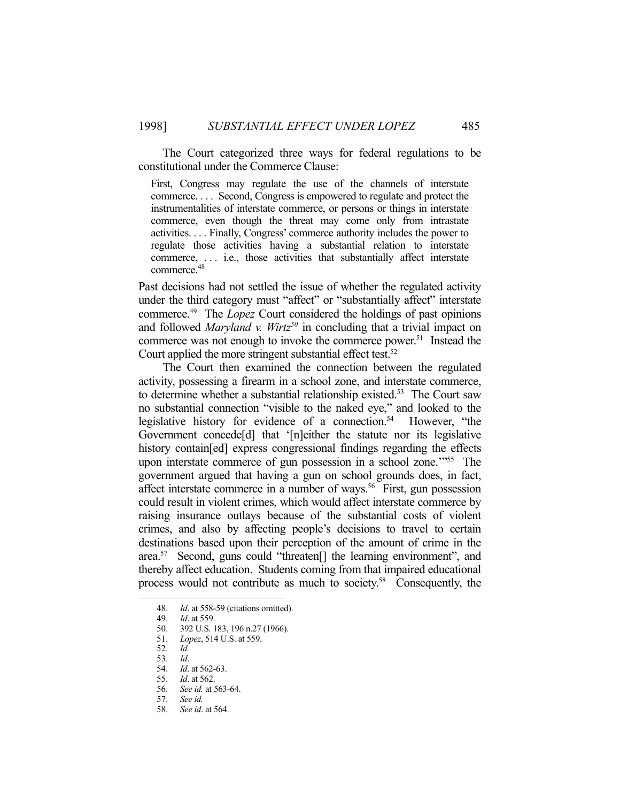The Court categorized three ways for federal regulations to be constitutional under the Commerce Clause:

First, Congress may regulate the use of the channels of interstate commerce. . . . Second, Congress is empowered to regulate and protect the instrumentalities of interstate commerce, or persons or things in interstate commerce, even though the threat may come only from intrastate activities. . . . Finally, Congress' commerce authority includes the power to regulate those activities having a substantial relation to interstate commerce, . . . i.e., those activities that substantially affect interstate commerce.<sup>48</sup>

Past decisions had not settled the issue of whether the regulated activity under the third category must "affect" or "substantially affect" interstate commerce.49 The *Lopez* Court considered the holdings of past opinions and followed *Maryland v. Wirtz<sup>50</sup>* in concluding that a trivial impact on commerce was not enough to invoke the commerce power.51 Instead the Court applied the more stringent substantial effect test.<sup>52</sup>

 The Court then examined the connection between the regulated activity, possessing a firearm in a school zone, and interstate commerce, to determine whether a substantial relationship existed.<sup>53</sup> The Court saw no substantial connection "visible to the naked eye," and looked to the legislative history for evidence of a connection.<sup>54</sup> However, "the Government concede[d] that '[n]either the statute nor its legislative history contain[ed] express congressional findings regarding the effects upon interstate commerce of gun possession in a school zone."<sup>55</sup> The government argued that having a gun on school grounds does, in fact, affect interstate commerce in a number of ways.<sup>56</sup> First, gun possession could result in violent crimes, which would affect interstate commerce by raising insurance outlays because of the substantial costs of violent crimes, and also by affecting people's decisions to travel to certain destinations based upon their perception of the amount of crime in the area.57 Second, guns could "threaten[] the learning environment", and thereby affect education. Students coming from that impaired educational process would not contribute as much to society.58 Consequently, the

 <sup>48.</sup> *Id*. at 558-59 (citations omitted).

 <sup>49.</sup> *Id*. at 559.

 <sup>50. 392</sup> U.S. 183, 196 n.27 (1966).

 <sup>51.</sup> *Lopez*, 514 U.S. at 559.

 <sup>52.</sup> *Id.*

 <sup>53.</sup> *Id*.

 <sup>54.</sup> *Id*. at 562-63.

 <sup>55.</sup> *Id*. at 562.

 <sup>56.</sup> *See id.* at 563-64.

 <sup>57.</sup> *See id.*

 <sup>58.</sup> *See id*. at 564.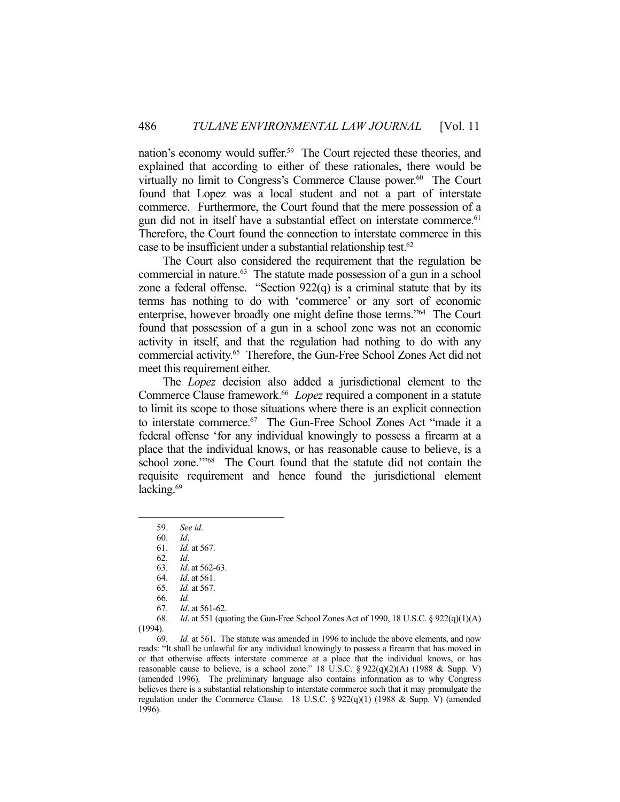nation's economy would suffer.59 The Court rejected these theories, and explained that according to either of these rationales, there would be virtually no limit to Congress's Commerce Clause power.<sup>60</sup> The Court found that Lopez was a local student and not a part of interstate commerce. Furthermore, the Court found that the mere possession of a gun did not in itself have a substantial effect on interstate commerce.<sup>61</sup> Therefore, the Court found the connection to interstate commerce in this case to be insufficient under a substantial relationship test.62

 The Court also considered the requirement that the regulation be commercial in nature.63 The statute made possession of a gun in a school zone a federal offense. "Section  $922(q)$  is a criminal statute that by its terms has nothing to do with 'commerce' or any sort of economic enterprise, however broadly one might define those terms."64 The Court found that possession of a gun in a school zone was not an economic activity in itself, and that the regulation had nothing to do with any commercial activity.65 Therefore, the Gun-Free School Zones Act did not meet this requirement either.

 The *Lopez* decision also added a jurisdictional element to the Commerce Clause framework.<sup>66</sup> *Lopez* required a component in a statute to limit its scope to those situations where there is an explicit connection to interstate commerce.67 The Gun-Free School Zones Act "made it a federal offense 'for any individual knowingly to possess a firearm at a place that the individual knows, or has reasonable cause to believe, is a school zone."<sup>68</sup> The Court found that the statute did not contain the requisite requirement and hence found the jurisdictional element lacking.<sup>69</sup>

1

 68. *Id*. at 551 (quoting the Gun-Free School Zones Act of 1990, 18 U.S.C. § 922(q)(1)(A) (1994).

 69. *Id.* at 561. The statute was amended in 1996 to include the above elements, and now reads: "It shall be unlawful for any individual knowingly to possess a firearm that has moved in or that otherwise affects interstate commerce at a place that the individual knows, or has reasonable cause to believe, is a school zone." 18 U.S.C.  $\S 922(q)(2)(A)$  (1988 & Supp. V) (amended 1996). The preliminary language also contains information as to why Congress believes there is a substantial relationship to interstate commerce such that it may promulgate the regulation under the Commerce Clause. 18 U.S.C. § 922(q)(1) (1988 & Supp. V) (amended 1996).

 <sup>59.</sup> *See id*.

 <sup>60.</sup> *Id*.

 <sup>61.</sup> *Id.* at 567.

 <sup>62.</sup> *Id*.

 <sup>63.</sup> *Id*. at 562-63.

 <sup>64.</sup> *Id*. at 561. 65. *Id.* at 567.

 <sup>66.</sup> *Id.*

 <sup>67.</sup> *Id*. at 561-62.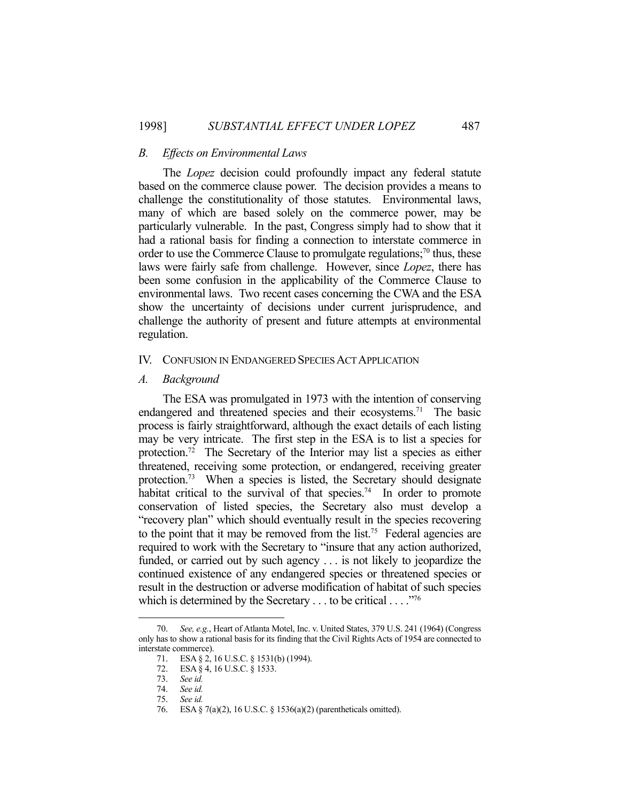#### *B. Effects on Environmental Laws*

 The *Lopez* decision could profoundly impact any federal statute based on the commerce clause power. The decision provides a means to challenge the constitutionality of those statutes. Environmental laws, many of which are based solely on the commerce power, may be particularly vulnerable. In the past, Congress simply had to show that it had a rational basis for finding a connection to interstate commerce in order to use the Commerce Clause to promulgate regulations;<sup>70</sup> thus, these laws were fairly safe from challenge. However, since *Lopez*, there has been some confusion in the applicability of the Commerce Clause to environmental laws. Two recent cases concerning the CWA and the ESA show the uncertainty of decisions under current jurisprudence, and challenge the authority of present and future attempts at environmental regulation.

#### IV. CONFUSION IN ENDANGERED SPECIES ACT APPLICATION

#### *A. Background*

 The ESA was promulgated in 1973 with the intention of conserving endangered and threatened species and their ecosystems.<sup>71</sup> The basic process is fairly straightforward, although the exact details of each listing may be very intricate. The first step in the ESA is to list a species for protection.72 The Secretary of the Interior may list a species as either threatened, receiving some protection, or endangered, receiving greater protection.73 When a species is listed, the Secretary should designate habitat critical to the survival of that species.<sup>74</sup> In order to promote conservation of listed species, the Secretary also must develop a "recovery plan" which should eventually result in the species recovering to the point that it may be removed from the list.<sup>75</sup> Federal agencies are required to work with the Secretary to "insure that any action authorized, funded, or carried out by such agency . . . is not likely to jeopardize the continued existence of any endangered species or threatened species or result in the destruction or adverse modification of habitat of such species which is determined by the Secretary . . . to be critical . . . ."76

 <sup>70.</sup> *See, e.g.*, Heart of Atlanta Motel, Inc. v. United States, 379 U.S. 241 (1964) (Congress only has to show a rational basis for its finding that the Civil Rights Acts of 1954 are connected to interstate commerce).

 <sup>71.</sup> ESA § 2, 16 U.S.C. § 1531(b) (1994).

<sup>72.</sup> ESA § 4, 16 U.S.C. § 1533.

 <sup>73.</sup> *See id.*

 <sup>74.</sup> *See id.*

 <sup>75.</sup> *See id.*

 <sup>76.</sup> ESA § 7(a)(2), 16 U.S.C. § 1536(a)(2) (parentheticals omitted).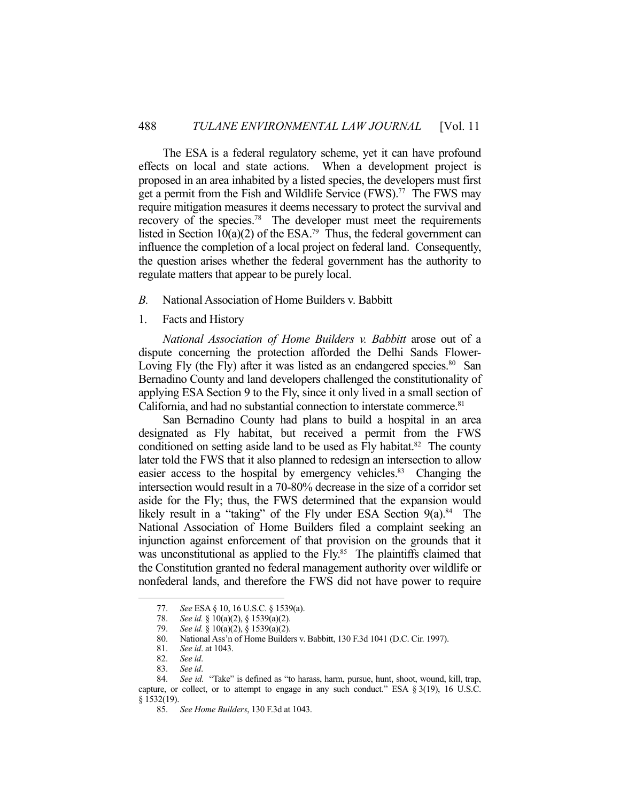The ESA is a federal regulatory scheme, yet it can have profound effects on local and state actions. When a development project is proposed in an area inhabited by a listed species, the developers must first get a permit from the Fish and Wildlife Service (FWS).<sup>77</sup> The FWS may require mitigation measures it deems necessary to protect the survival and recovery of the species.78 The developer must meet the requirements listed in Section 10(a)(2) of the ESA.<sup>79</sup> Thus, the federal government can influence the completion of a local project on federal land. Consequently, the question arises whether the federal government has the authority to regulate matters that appear to be purely local.

- *B.* National Association of Home Builders v. Babbitt
- 1. Facts and History

*National Association of Home Builders v. Babbitt* arose out of a dispute concerning the protection afforded the Delhi Sands Flower-Loving Fly (the Fly) after it was listed as an endangered species.<sup>80</sup> San Bernadino County and land developers challenged the constitutionality of applying ESA Section 9 to the Fly, since it only lived in a small section of California, and had no substantial connection to interstate commerce.<sup>81</sup>

 San Bernadino County had plans to build a hospital in an area designated as Fly habitat, but received a permit from the FWS conditioned on setting aside land to be used as  $Fly$  habitat.<sup>82</sup> The county later told the FWS that it also planned to redesign an intersection to allow easier access to the hospital by emergency vehicles.<sup>83</sup> Changing the intersection would result in a 70-80% decrease in the size of a corridor set aside for the Fly; thus, the FWS determined that the expansion would likely result in a "taking" of the Fly under ESA Section  $9(a)$ .<sup>84</sup> The National Association of Home Builders filed a complaint seeking an injunction against enforcement of that provision on the grounds that it was unconstitutional as applied to the Fly.<sup>85</sup> The plaintiffs claimed that the Constitution granted no federal management authority over wildlife or nonfederal lands, and therefore the FWS did not have power to require

 <sup>77.</sup> *See* ESA § 10, 16 U.S.C. § 1539(a).

 <sup>78.</sup> *See id.* § 10(a)(2), § 1539(a)(2).

 <sup>79.</sup> *See id.* § 10(a)(2), § 1539(a)(2).

 <sup>80.</sup> National Ass'n of Home Builders v. Babbitt, 130 F.3d 1041 (D.C. Cir. 1997).

 <sup>81.</sup> *See id*. at 1043.

 <sup>82.</sup> *See id*. 83. *See id*.

 <sup>84.</sup> *See id.* "Take" is defined as "to harass, harm, pursue, hunt, shoot, wound, kill, trap, capture, or collect, or to attempt to engage in any such conduct." ESA  $\S 3(19)$ , 16 U.S.C. § 1532(19).

 <sup>85.</sup> *See Home Builders*, 130 F.3d at 1043.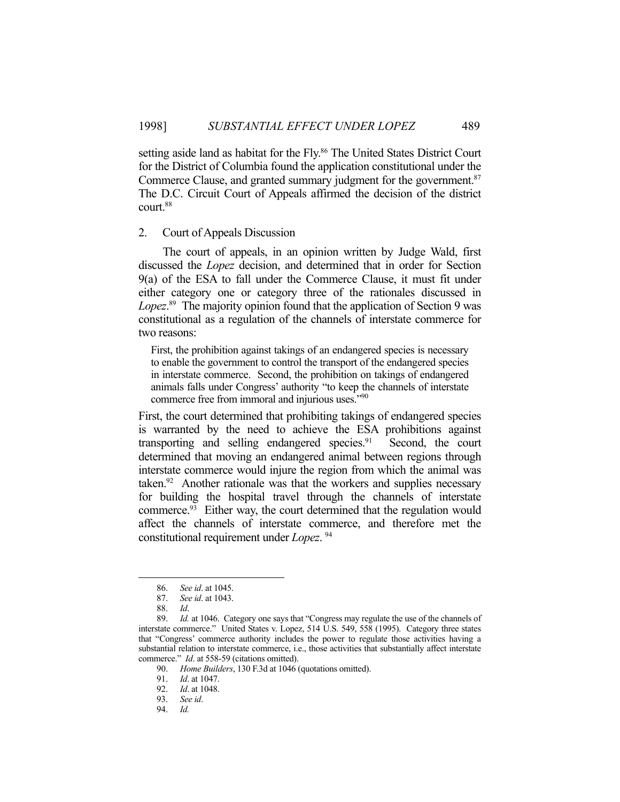setting aside land as habitat for the Fly.<sup>86</sup> The United States District Court for the District of Columbia found the application constitutional under the Commerce Clause, and granted summary judgment for the government.<sup>87</sup> The D.C. Circuit Court of Appeals affirmed the decision of the district court.88

#### 2. Court of Appeals Discussion

 The court of appeals, in an opinion written by Judge Wald, first discussed the *Lopez* decision, and determined that in order for Section 9(a) of the ESA to fall under the Commerce Clause, it must fit under either category one or category three of the rationales discussed in *Lopez*. 89 The majority opinion found that the application of Section 9 was constitutional as a regulation of the channels of interstate commerce for two reasons:

First, the prohibition against takings of an endangered species is necessary to enable the government to control the transport of the endangered species in interstate commerce. Second, the prohibition on takings of endangered animals falls under Congress' authority "to keep the channels of interstate commerce free from immoral and injurious uses."90

First, the court determined that prohibiting takings of endangered species is warranted by the need to achieve the ESA prohibitions against transporting and selling endangered species.<sup>91</sup> Second, the court determined that moving an endangered animal between regions through interstate commerce would injure the region from which the animal was taken. $92$  Another rationale was that the workers and supplies necessary for building the hospital travel through the channels of interstate commerce.93 Either way, the court determined that the regulation would affect the channels of interstate commerce, and therefore met the constitutional requirement under *Lopez*. 94

 <sup>86.</sup> *See id*. at 1045.

 <sup>87.</sup> *See id*. at 1043.

 <sup>88.</sup> *Id*.

 <sup>89.</sup> *Id.* at 1046. Category one says that "Congress may regulate the use of the channels of interstate commerce." United States v. Lopez, 514 U.S. 549, 558 (1995). Category three states that "Congress' commerce authority includes the power to regulate those activities having a substantial relation to interstate commerce, i.e., those activities that substantially affect interstate commerce." *Id*. at 558-59 (citations omitted).

 <sup>90.</sup> *Home Builders*, 130 F.3d at 1046 (quotations omitted).

*Id.* at 1047.

 <sup>92.</sup> *Id*. at 1048.

 <sup>93.</sup> *See id*.

 <sup>94.</sup> *Id.*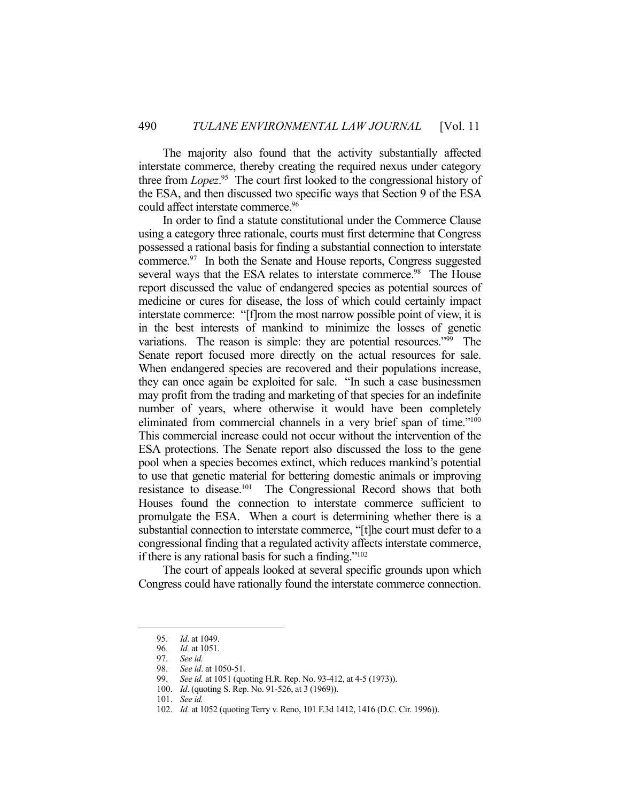The majority also found that the activity substantially affected interstate commerce, thereby creating the required nexus under category three from *Lopez*. 95 The court first looked to the congressional history of the ESA, and then discussed two specific ways that Section 9 of the ESA could affect interstate commerce.<sup>96</sup>

 In order to find a statute constitutional under the Commerce Clause using a category three rationale, courts must first determine that Congress possessed a rational basis for finding a substantial connection to interstate commerce.97 In both the Senate and House reports, Congress suggested several ways that the ESA relates to interstate commerce.<sup>98</sup> The House report discussed the value of endangered species as potential sources of medicine or cures for disease, the loss of which could certainly impact interstate commerce: "[f]rom the most narrow possible point of view, it is in the best interests of mankind to minimize the losses of genetic variations. The reason is simple: they are potential resources."99 The Senate report focused more directly on the actual resources for sale. When endangered species are recovered and their populations increase, they can once again be exploited for sale. "In such a case businessmen may profit from the trading and marketing of that species for an indefinite number of years, where otherwise it would have been completely eliminated from commercial channels in a very brief span of time."100 This commercial increase could not occur without the intervention of the ESA protections. The Senate report also discussed the loss to the gene pool when a species becomes extinct, which reduces mankind's potential to use that genetic material for bettering domestic animals or improving resistance to disease.101 The Congressional Record shows that both Houses found the connection to interstate commerce sufficient to promulgate the ESA. When a court is determining whether there is a substantial connection to interstate commerce, "[t]he court must defer to a congressional finding that a regulated activity affects interstate commerce, if there is any rational basis for such a finding."102

 The court of appeals looked at several specific grounds upon which Congress could have rationally found the interstate commerce connection.

 <sup>95.</sup> *Id*. at 1049.

 <sup>96.</sup> *Id.* at 1051.

 <sup>97.</sup> *See id.*

 <sup>98.</sup> *See id*. at 1050-51.

 <sup>99.</sup> *See id.* at 1051 (quoting H.R. Rep. No. 93-412, at 4-5 (1973)).

 <sup>100.</sup> *Id*. (quoting S. Rep. No. 91-526, at 3 (1969)).

 <sup>101.</sup> *See id.*

 <sup>102.</sup> *Id.* at 1052 (quoting Terry v. Reno, 101 F.3d 1412, 1416 (D.C. Cir. 1996)).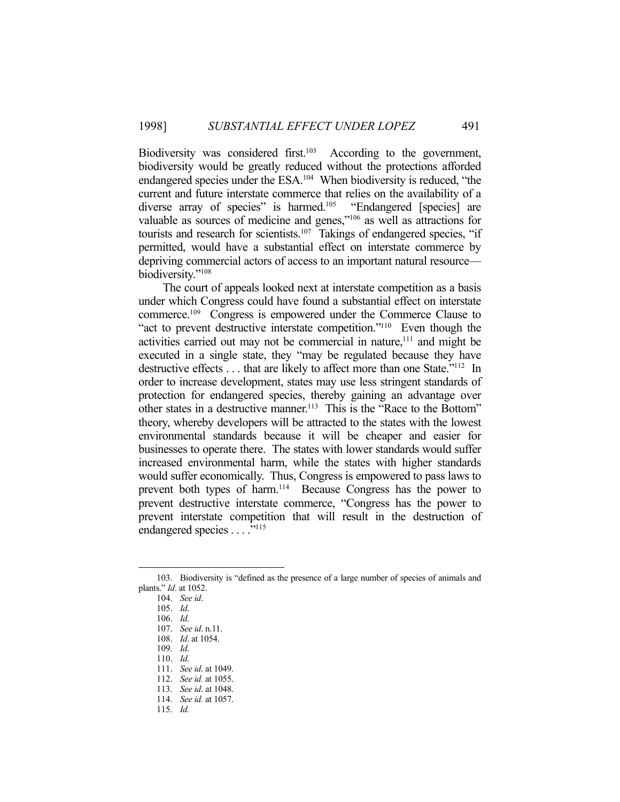Biodiversity was considered first.<sup>103</sup> According to the government, biodiversity would be greatly reduced without the protections afforded endangered species under the ESA.104 When biodiversity is reduced, "the current and future interstate commerce that relies on the availability of a diverse array of species" is harmed.<sup>105</sup> "Endangered [species] are valuable as sources of medicine and genes,"106 as well as attractions for tourists and research for scientists.<sup>107</sup> Takings of endangered species, "if permitted, would have a substantial effect on interstate commerce by depriving commercial actors of access to an important natural resource biodiversity."108

 The court of appeals looked next at interstate competition as a basis under which Congress could have found a substantial effect on interstate commerce.109 Congress is empowered under the Commerce Clause to "act to prevent destructive interstate competition."110 Even though the activities carried out may not be commercial in nature,<sup>111</sup> and might be executed in a single state, they "may be regulated because they have destructive effects . . . that are likely to affect more than one State."112 In order to increase development, states may use less stringent standards of protection for endangered species, thereby gaining an advantage over other states in a destructive manner.<sup>113</sup> This is the "Race to the Bottom" theory, whereby developers will be attracted to the states with the lowest environmental standards because it will be cheaper and easier for businesses to operate there. The states with lower standards would suffer increased environmental harm, while the states with higher standards would suffer economically. Thus, Congress is empowered to pass laws to prevent both types of harm.<sup>114</sup> Because Congress has the power to prevent destructive interstate commerce, "Congress has the power to prevent interstate competition that will result in the destruction of endangered species . . . . "<sup>115</sup>

 <sup>103.</sup> Biodiversity is "defined as the presence of a large number of species of animals and plants." *Id*. at 1052.

 <sup>104.</sup> *See id*.

 <sup>105.</sup> *Id*.

 <sup>106.</sup> *Id.*

 <sup>107.</sup> *See id*. n.11.

 <sup>108.</sup> *Id*. at 1054.

 <sup>109.</sup> *Id*.

 <sup>110.</sup> *Id.*

 <sup>111.</sup> *See id*. at 1049. 112. *See id.* at 1055.

 <sup>113.</sup> *See id*. at 1048.

 <sup>114.</sup> *See id.* at 1057.

 <sup>115.</sup> *Id.*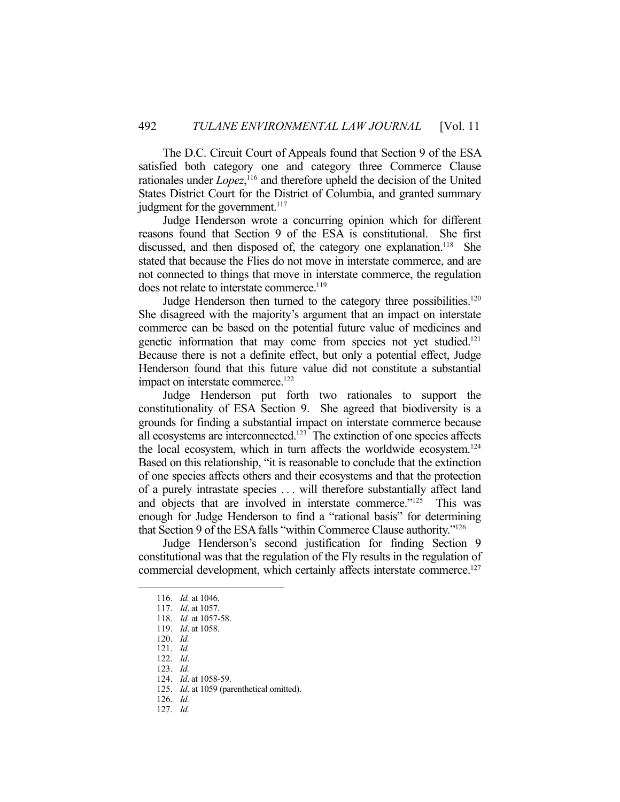The D.C. Circuit Court of Appeals found that Section 9 of the ESA satisfied both category one and category three Commerce Clause rationales under *Lopez*,<sup>116</sup> and therefore upheld the decision of the United States District Court for the District of Columbia, and granted summary judgment for the government.<sup>117</sup>

 Judge Henderson wrote a concurring opinion which for different reasons found that Section 9 of the ESA is constitutional. She first discussed, and then disposed of, the category one explanation.<sup>118</sup> She stated that because the Flies do not move in interstate commerce, and are not connected to things that move in interstate commerce, the regulation does not relate to interstate commerce.<sup>119</sup>

Judge Henderson then turned to the category three possibilities.<sup>120</sup> She disagreed with the majority's argument that an impact on interstate commerce can be based on the potential future value of medicines and genetic information that may come from species not yet studied.121 Because there is not a definite effect, but only a potential effect, Judge Henderson found that this future value did not constitute a substantial impact on interstate commerce.<sup>122</sup>

 Judge Henderson put forth two rationales to support the constitutionality of ESA Section 9. She agreed that biodiversity is a grounds for finding a substantial impact on interstate commerce because all ecosystems are interconnected.<sup>123</sup> The extinction of one species affects the local ecosystem, which in turn affects the worldwide ecosystem.124 Based on this relationship, "it is reasonable to conclude that the extinction of one species affects others and their ecosystems and that the protection of a purely intrastate species . . . will therefore substantially affect land and objects that are involved in interstate commerce."<sup>125</sup> This was enough for Judge Henderson to find a "rational basis" for determining that Section 9 of the ESA falls "within Commerce Clause authority."126

 Judge Henderson's second justification for finding Section 9 constitutional was that the regulation of the Fly results in the regulation of commercial development, which certainly affects interstate commerce.<sup>127</sup>

- 121. *Id.* 122. *Id*.
- 123. *Id.*

 <sup>116.</sup> *Id.* at 1046.

 <sup>117.</sup> *Id*. at 1057.

 <sup>118.</sup> *Id.* at 1057-58.

 <sup>119.</sup> *Id*. at 1058.

 <sup>120.</sup> *Id.*

 <sup>124.</sup> *Id*. at 1058-59.

 <sup>125.</sup> *Id*. at 1059 (parenthetical omitted).

 <sup>126.</sup> *Id.*

 <sup>127.</sup> *Id.*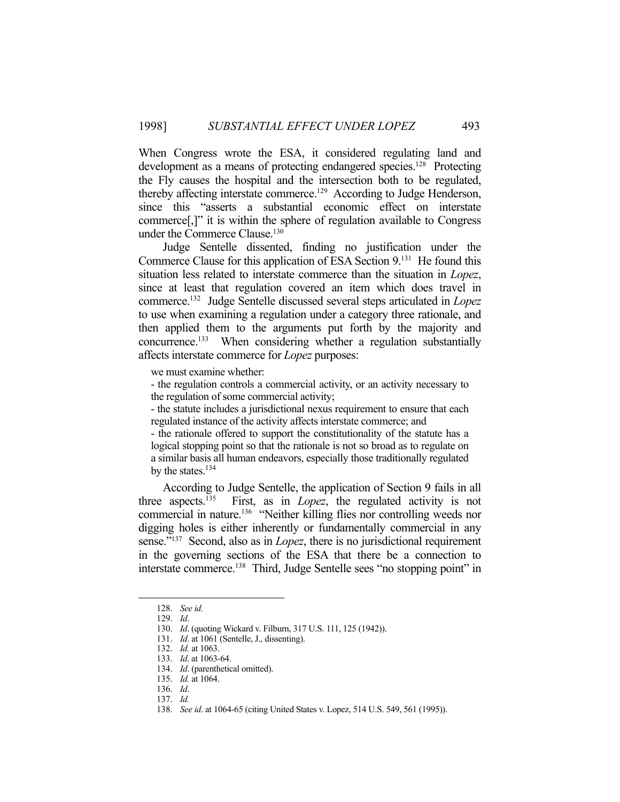When Congress wrote the ESA, it considered regulating land and development as a means of protecting endangered species.<sup>128</sup> Protecting the Fly causes the hospital and the intersection both to be regulated, thereby affecting interstate commerce.<sup>129</sup> According to Judge Henderson, since this "asserts a substantial economic effect on interstate commerce[,]" it is within the sphere of regulation available to Congress under the Commerce Clause.<sup>130</sup>

 Judge Sentelle dissented, finding no justification under the Commerce Clause for this application of ESA Section 9.131 He found this situation less related to interstate commerce than the situation in *Lopez*, since at least that regulation covered an item which does travel in commerce.132 Judge Sentelle discussed several steps articulated in *Lopez* to use when examining a regulation under a category three rationale, and then applied them to the arguments put forth by the majority and concurrence.<sup>133</sup> When considering whether a regulation substantially affects interstate commerce for *Lopez* purposes:

we must examine whether:

- the regulation controls a commercial activity, or an activity necessary to the regulation of some commercial activity;

- the statute includes a jurisdictional nexus requirement to ensure that each regulated instance of the activity affects interstate commerce; and

- the rationale offered to support the constitutionality of the statute has a logical stopping point so that the rationale is not so broad as to regulate on a similar basis all human endeavors, especially those traditionally regulated by the states. $134$ 

 According to Judge Sentelle, the application of Section 9 fails in all three aspects.135 First, as in *Lopez*, the regulated activity is not commercial in nature.136 "Neither killing flies nor controlling weeds nor digging holes is either inherently or fundamentally commercial in any sense."137 Second, also as in *Lopez*, there is no jurisdictional requirement in the governing sections of the ESA that there be a connection to interstate commerce.<sup>138</sup> Third, Judge Sentelle sees "no stopping point" in

 <sup>128.</sup> *See id.*

 <sup>129.</sup> *Id*.

 <sup>130.</sup> *Id*. (quoting Wickard v. Filburn, 317 U.S. 111, 125 (1942)).

 <sup>131.</sup> *Id*. at 1061 (Sentelle, J., dissenting).

 <sup>132.</sup> *Id.* at 1063.

 <sup>133.</sup> *Id*. at 1063-64.

 <sup>134.</sup> *Id*. (parenthetical omitted).

 <sup>135.</sup> *Id.* at 1064.

 <sup>136.</sup> *Id*.

 <sup>137.</sup> *Id.*

 <sup>138.</sup> *See id*. at 1064-65 (citing United States v. Lopez, 514 U.S. 549, 561 (1995)).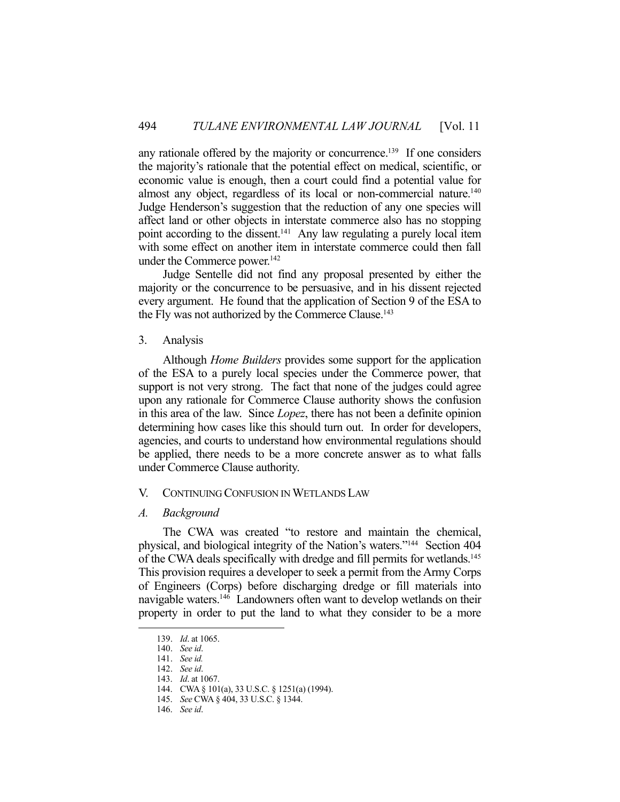any rationale offered by the majority or concurrence.139 If one considers the majority's rationale that the potential effect on medical, scientific, or economic value is enough, then a court could find a potential value for almost any object, regardless of its local or non-commercial nature.<sup>140</sup> Judge Henderson's suggestion that the reduction of any one species will affect land or other objects in interstate commerce also has no stopping point according to the dissent.<sup>141</sup> Any law regulating a purely local item with some effect on another item in interstate commerce could then fall under the Commerce power.<sup>142</sup>

 Judge Sentelle did not find any proposal presented by either the majority or the concurrence to be persuasive, and in his dissent rejected every argument. He found that the application of Section 9 of the ESA to the Fly was not authorized by the Commerce Clause.<sup>143</sup>

3. Analysis

 Although *Home Builders* provides some support for the application of the ESA to a purely local species under the Commerce power, that support is not very strong. The fact that none of the judges could agree upon any rationale for Commerce Clause authority shows the confusion in this area of the law. Since *Lopez*, there has not been a definite opinion determining how cases like this should turn out. In order for developers, agencies, and courts to understand how environmental regulations should be applied, there needs to be a more concrete answer as to what falls under Commerce Clause authority.

# V. CONTINUING CONFUSION IN WETLANDS LAW

# *A. Background*

 The CWA was created "to restore and maintain the chemical, physical, and biological integrity of the Nation's waters."144 Section 404 of the CWA deals specifically with dredge and fill permits for wetlands.145 This provision requires a developer to seek a permit from the Army Corps of Engineers (Corps) before discharging dredge or fill materials into navigable waters.<sup>146</sup> Landowners often want to develop wetlands on their property in order to put the land to what they consider to be a more

 <sup>139.</sup> *Id*. at 1065.

 <sup>140.</sup> *See id*.

 <sup>141.</sup> *See id.*

 <sup>142.</sup> *See id*.

 <sup>143.</sup> *Id*. at 1067.

 <sup>144.</sup> CWA § 101(a), 33 U.S.C. § 1251(a) (1994).

 <sup>145.</sup> *See* CWA § 404, 33 U.S.C. § 1344.

 <sup>146.</sup> *See id*.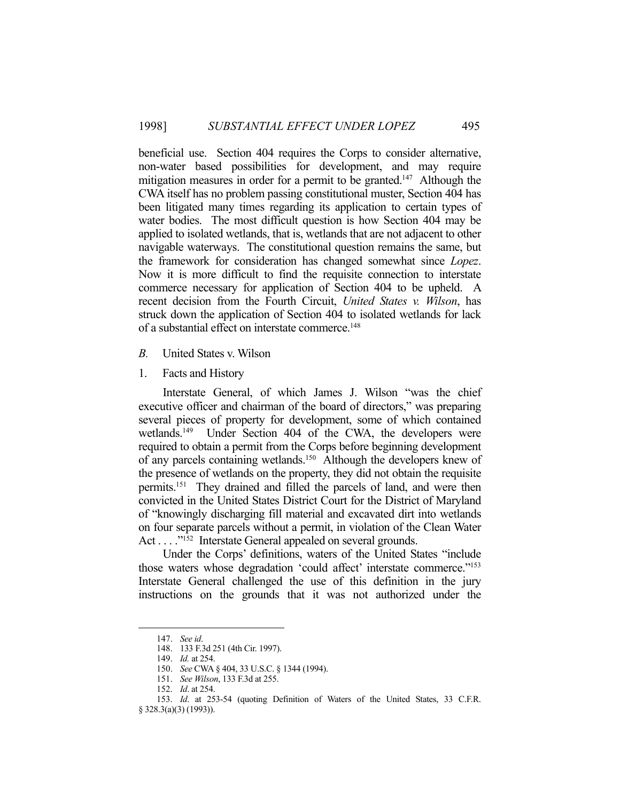beneficial use. Section 404 requires the Corps to consider alternative, non-water based possibilities for development, and may require mitigation measures in order for a permit to be granted.<sup>147</sup> Although the CWA itself has no problem passing constitutional muster, Section 404 has been litigated many times regarding its application to certain types of water bodies. The most difficult question is how Section 404 may be applied to isolated wetlands, that is, wetlands that are not adjacent to other navigable waterways. The constitutional question remains the same, but the framework for consideration has changed somewhat since *Lopez*. Now it is more difficult to find the requisite connection to interstate commerce necessary for application of Section 404 to be upheld. A recent decision from the Fourth Circuit, *United States v. Wilson*, has struck down the application of Section 404 to isolated wetlands for lack of a substantial effect on interstate commerce.<sup>148</sup>

- *B.* United States v. Wilson
- 1. Facts and History

 Interstate General, of which James J. Wilson "was the chief executive officer and chairman of the board of directors," was preparing several pieces of property for development, some of which contained wetlands.<sup>149</sup> Under Section 404 of the CWA, the developers were required to obtain a permit from the Corps before beginning development of any parcels containing wetlands.150 Although the developers knew of the presence of wetlands on the property, they did not obtain the requisite permits.151 They drained and filled the parcels of land, and were then convicted in the United States District Court for the District of Maryland of "knowingly discharging fill material and excavated dirt into wetlands on four separate parcels without a permit, in violation of the Clean Water Act . . . .<sup>"152</sup> Interstate General appealed on several grounds.

 Under the Corps' definitions, waters of the United States "include those waters whose degradation 'could affect' interstate commerce."<sup>153</sup> Interstate General challenged the use of this definition in the jury instructions on the grounds that it was not authorized under the

 <sup>147.</sup> *See id*.

 <sup>148. 133</sup> F.3d 251 (4th Cir. 1997).

 <sup>149.</sup> *Id.* at 254.

 <sup>150.</sup> *See* CWA § 404, 33 U.S.C. § 1344 (1994).

 <sup>151.</sup> *See Wilson*, 133 F.3d at 255.

 <sup>152.</sup> *Id*. at 254.

 <sup>153.</sup> *Id*. at 253-54 (quoting Definition of Waters of the United States, 33 C.F.R.

<sup>§ 328.3(</sup>a)(3) (1993)).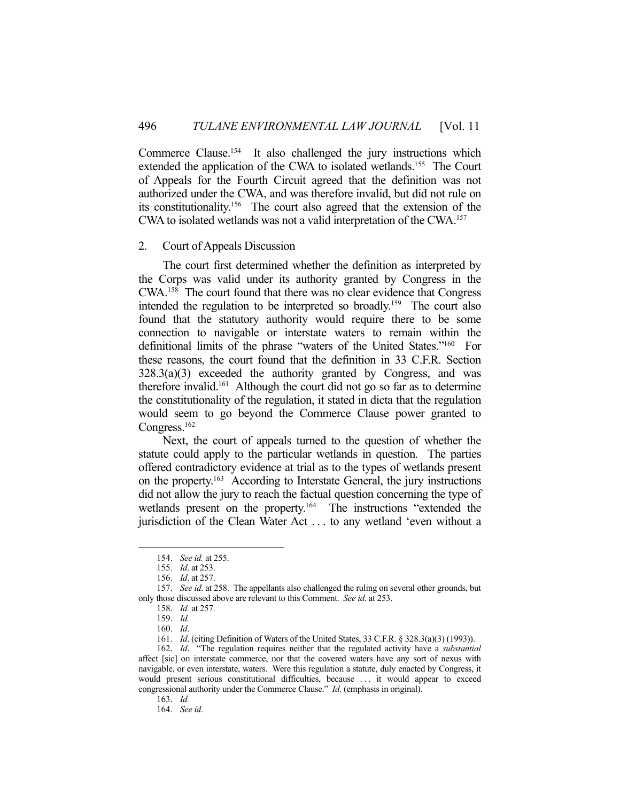Commerce Clause.<sup>154</sup> It also challenged the jury instructions which extended the application of the CWA to isolated wetlands.<sup>155</sup> The Court of Appeals for the Fourth Circuit agreed that the definition was not authorized under the CWA, and was therefore invalid, but did not rule on its constitutionality.156 The court also agreed that the extension of the CWA to isolated wetlands was not a valid interpretation of the CWA.157

# 2. Court of Appeals Discussion

 The court first determined whether the definition as interpreted by the Corps was valid under its authority granted by Congress in the CWA.158 The court found that there was no clear evidence that Congress intended the regulation to be interpreted so broadly.159 The court also found that the statutory authority would require there to be some connection to navigable or interstate waters to remain within the definitional limits of the phrase "waters of the United States."160 For these reasons, the court found that the definition in 33 C.F.R. Section  $328.3(a)(3)$  exceeded the authority granted by Congress, and was therefore invalid.161 Although the court did not go so far as to determine the constitutionality of the regulation, it stated in dicta that the regulation would seem to go beyond the Commerce Clause power granted to Congress.<sup>162</sup>

 Next, the court of appeals turned to the question of whether the statute could apply to the particular wetlands in question. The parties offered contradictory evidence at trial as to the types of wetlands present on the property.<sup>163</sup> According to Interstate General, the jury instructions did not allow the jury to reach the factual question concerning the type of wetlands present on the property.<sup>164</sup> The instructions "extended the jurisdiction of the Clean Water Act . . . to any wetland 'even without a

 <sup>154.</sup> *See id.* at 255.

 <sup>155.</sup> *Id*. at 253.

 <sup>156.</sup> *Id*. at 257.

 <sup>157.</sup> *See id*. at 258. The appellants also challenged the ruling on several other grounds, but only those discussed above are relevant to this Comment. *See id*. at 253.

 <sup>158.</sup> *Id.* at 257.

 <sup>159.</sup> *Id.*

 <sup>160.</sup> *Id*.

 <sup>161.</sup> *Id*. (citing Definition of Waters of the United States, 33 C.F.R. § 328.3(a)(3) (1993)).

 <sup>162.</sup> *Id*. "The regulation requires neither that the regulated activity have a *substantial* affect [sic] on interstate commerce, nor that the covered waters have any sort of nexus with navigable, or even interstate, waters. Were this regulation a statute, duly enacted by Congress, it would present serious constitutional difficulties, because . . . it would appear to exceed congressional authority under the Commerce Clause." *Id*. (emphasis in original).

 <sup>163.</sup> *Id.*

 <sup>164.</sup> *See id*.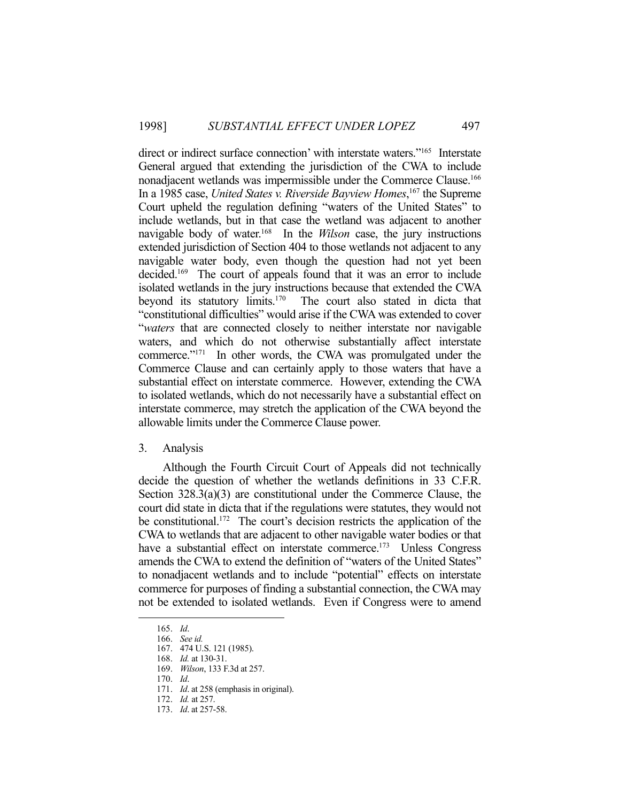direct or indirect surface connection' with interstate waters."<sup>165</sup> Interstate General argued that extending the jurisdiction of the CWA to include nonadjacent wetlands was impermissible under the Commerce Clause.166 In a 1985 case, *United States v. Riverside Bayview Homes*, 167 the Supreme Court upheld the regulation defining "waters of the United States" to include wetlands, but in that case the wetland was adjacent to another navigable body of water.168 In the *Wilson* case, the jury instructions extended jurisdiction of Section 404 to those wetlands not adjacent to any navigable water body, even though the question had not yet been decided.169 The court of appeals found that it was an error to include isolated wetlands in the jury instructions because that extended the CWA beyond its statutory limits.170 The court also stated in dicta that "constitutional difficulties" would arise if the CWA was extended to cover "*waters* that are connected closely to neither interstate nor navigable waters, and which do not otherwise substantially affect interstate commerce."171 In other words, the CWA was promulgated under the Commerce Clause and can certainly apply to those waters that have a substantial effect on interstate commerce. However, extending the CWA to isolated wetlands, which do not necessarily have a substantial effect on interstate commerce, may stretch the application of the CWA beyond the allowable limits under the Commerce Clause power.

#### 3. Analysis

 Although the Fourth Circuit Court of Appeals did not technically decide the question of whether the wetlands definitions in 33 C.F.R. Section 328.3(a)(3) are constitutional under the Commerce Clause, the court did state in dicta that if the regulations were statutes, they would not be constitutional.<sup>172</sup> The court's decision restricts the application of the CWA to wetlands that are adjacent to other navigable water bodies or that have a substantial effect on interstate commerce.<sup>173</sup> Unless Congress amends the CWA to extend the definition of "waters of the United States" to nonadjacent wetlands and to include "potential" effects on interstate commerce for purposes of finding a substantial connection, the CWA may not be extended to isolated wetlands. Even if Congress were to amend

 <sup>165.</sup> *Id*.

 <sup>166.</sup> *See id.*

 <sup>167. 474</sup> U.S. 121 (1985).

 <sup>168.</sup> *Id.* at 130-31.

 <sup>169.</sup> *Wilson*, 133 F.3d at 257.

 <sup>170.</sup> *Id*.

 <sup>171.</sup> *Id*. at 258 (emphasis in original).

 <sup>172.</sup> *Id.* at 257.

 <sup>173.</sup> *Id*. at 257-58.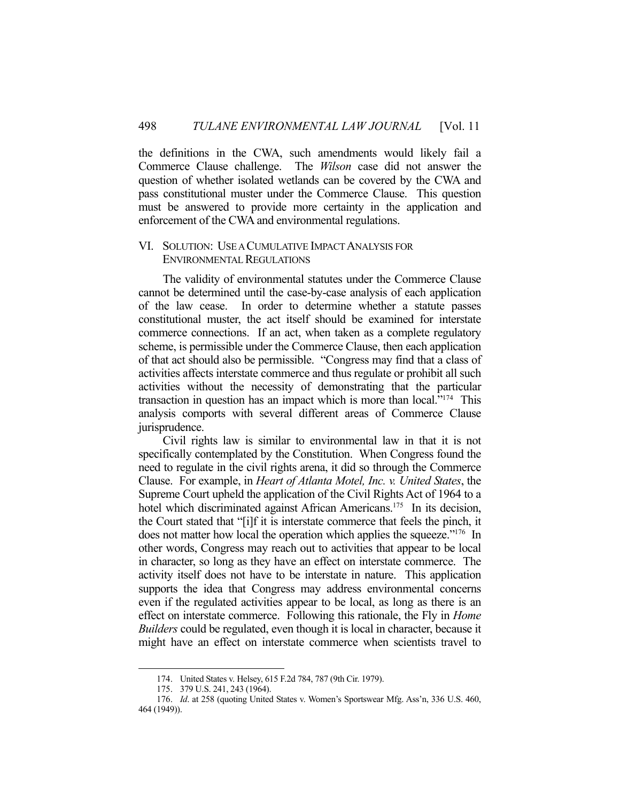the definitions in the CWA, such amendments would likely fail a Commerce Clause challenge. The *Wilson* case did not answer the question of whether isolated wetlands can be covered by the CWA and pass constitutional muster under the Commerce Clause. This question must be answered to provide more certainty in the application and enforcement of the CWA and environmental regulations.

# VI. SOLUTION: USE A CUMULATIVE IMPACT ANALYSIS FOR ENVIRONMENTAL REGULATIONS

 The validity of environmental statutes under the Commerce Clause cannot be determined until the case-by-case analysis of each application of the law cease. In order to determine whether a statute passes constitutional muster, the act itself should be examined for interstate commerce connections. If an act, when taken as a complete regulatory scheme, is permissible under the Commerce Clause, then each application of that act should also be permissible. "Congress may find that a class of activities affects interstate commerce and thus regulate or prohibit all such activities without the necessity of demonstrating that the particular transaction in question has an impact which is more than local."174 This analysis comports with several different areas of Commerce Clause jurisprudence.

 Civil rights law is similar to environmental law in that it is not specifically contemplated by the Constitution. When Congress found the need to regulate in the civil rights arena, it did so through the Commerce Clause. For example, in *Heart of Atlanta Motel, Inc. v. United States*, the Supreme Court upheld the application of the Civil Rights Act of 1964 to a hotel which discriminated against African Americans.<sup>175</sup> In its decision, the Court stated that "[i]f it is interstate commerce that feels the pinch, it does not matter how local the operation which applies the squeeze."176 In other words, Congress may reach out to activities that appear to be local in character, so long as they have an effect on interstate commerce. The activity itself does not have to be interstate in nature. This application supports the idea that Congress may address environmental concerns even if the regulated activities appear to be local, as long as there is an effect on interstate commerce. Following this rationale, the Fly in *Home Builders* could be regulated, even though it is local in character, because it might have an effect on interstate commerce when scientists travel to

 <sup>174.</sup> United States v. Helsey, 615 F.2d 784, 787 (9th Cir. 1979).

 <sup>175. 379</sup> U.S. 241, 243 (1964).

 <sup>176.</sup> *Id*. at 258 (quoting United States v. Women's Sportswear Mfg. Ass'n, 336 U.S. 460, 464 (1949)).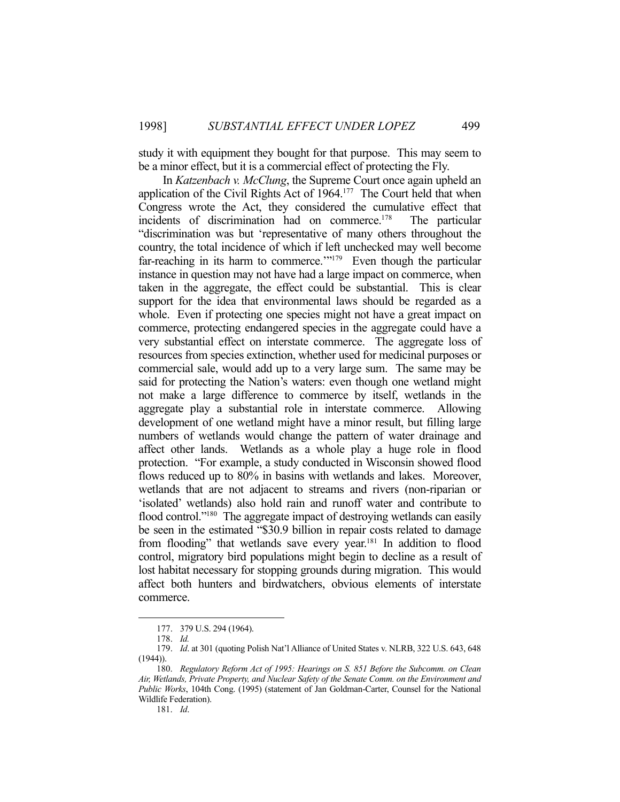study it with equipment they bought for that purpose. This may seem to be a minor effect, but it is a commercial effect of protecting the Fly.

 In *Katzenbach v. McClung*, the Supreme Court once again upheld an application of the Civil Rights Act of 1964.<sup>177</sup> The Court held that when Congress wrote the Act, they considered the cumulative effect that incidents of discrimination had on commerce.<sup>178</sup> The particular "discrimination was but 'representative of many others throughout the country, the total incidence of which if left unchecked may well become far-reaching in its harm to commerce."<sup>179</sup> Even though the particular instance in question may not have had a large impact on commerce, when taken in the aggregate, the effect could be substantial. This is clear support for the idea that environmental laws should be regarded as a whole. Even if protecting one species might not have a great impact on commerce, protecting endangered species in the aggregate could have a very substantial effect on interstate commerce. The aggregate loss of resources from species extinction, whether used for medicinal purposes or commercial sale, would add up to a very large sum. The same may be said for protecting the Nation's waters: even though one wetland might not make a large difference to commerce by itself, wetlands in the aggregate play a substantial role in interstate commerce. Allowing development of one wetland might have a minor result, but filling large numbers of wetlands would change the pattern of water drainage and affect other lands. Wetlands as a whole play a huge role in flood protection. "For example, a study conducted in Wisconsin showed flood flows reduced up to 80% in basins with wetlands and lakes. Moreover, wetlands that are not adjacent to streams and rivers (non-riparian or 'isolated' wetlands) also hold rain and runoff water and contribute to flood control."<sup>180</sup> The aggregate impact of destroying wetlands can easily be seen in the estimated "\$30.9 billion in repair costs related to damage from flooding" that wetlands save every year.<sup>181</sup> In addition to flood control, migratory bird populations might begin to decline as a result of lost habitat necessary for stopping grounds during migration. This would affect both hunters and birdwatchers, obvious elements of interstate commerce.

1

181. *Id*.

 <sup>177. 379</sup> U.S. 294 (1964).

 <sup>178.</sup> *Id.*

 <sup>179.</sup> *Id*. at 301 (quoting Polish Nat'l Alliance of United States v. NLRB, 322 U.S. 643, 648  $(1944)$ ).

 <sup>180.</sup> *Regulatory Reform Act of 1995: Hearings on S. 851 Before the Subcomm. on Clean Air, Wetlands, Private Property, and Nuclear Safety of the Senate Comm. on the Environment and Public Works*, 104th Cong. (1995) (statement of Jan Goldman-Carter, Counsel for the National Wildlife Federation).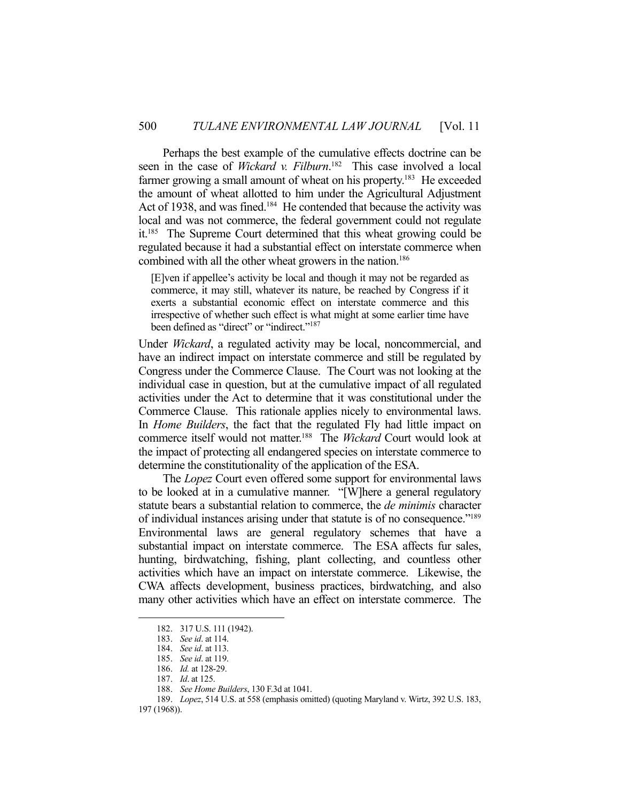Perhaps the best example of the cumulative effects doctrine can be seen in the case of *Wickard v. Filburn*. 182 This case involved a local farmer growing a small amount of wheat on his property.<sup>183</sup> He exceeded the amount of wheat allotted to him under the Agricultural Adjustment Act of 1938, and was fined.<sup>184</sup> He contended that because the activity was local and was not commerce, the federal government could not regulate it.<sup>185</sup> The Supreme Court determined that this wheat growing could be regulated because it had a substantial effect on interstate commerce when combined with all the other wheat growers in the nation.<sup>186</sup>

[E]ven if appellee's activity be local and though it may not be regarded as commerce, it may still, whatever its nature, be reached by Congress if it exerts a substantial economic effect on interstate commerce and this irrespective of whether such effect is what might at some earlier time have been defined as "direct" or "indirect."<sup>187</sup>

Under *Wickard*, a regulated activity may be local, noncommercial, and have an indirect impact on interstate commerce and still be regulated by Congress under the Commerce Clause. The Court was not looking at the individual case in question, but at the cumulative impact of all regulated activities under the Act to determine that it was constitutional under the Commerce Clause. This rationale applies nicely to environmental laws. In *Home Builders*, the fact that the regulated Fly had little impact on commerce itself would not matter.188 The *Wickard* Court would look at the impact of protecting all endangered species on interstate commerce to determine the constitutionality of the application of the ESA.

 The *Lopez* Court even offered some support for environmental laws to be looked at in a cumulative manner. "[W]here a general regulatory statute bears a substantial relation to commerce, the *de minimis* character of individual instances arising under that statute is of no consequence."189 Environmental laws are general regulatory schemes that have a substantial impact on interstate commerce. The ESA affects fur sales, hunting, birdwatching, fishing, plant collecting, and countless other activities which have an impact on interstate commerce. Likewise, the CWA affects development, business practices, birdwatching, and also many other activities which have an effect on interstate commerce. The

 <sup>182. 317</sup> U.S. 111 (1942).

 <sup>183.</sup> *See id*. at 114.

 <sup>184.</sup> *See id*. at 113.

 <sup>185.</sup> *See id*. at 119.

 <sup>186.</sup> *Id.* at 128-29.

 <sup>187.</sup> *Id*. at 125.

 <sup>188.</sup> *See Home Builders*, 130 F.3d at 1041.

 <sup>189.</sup> *Lopez*, 514 U.S. at 558 (emphasis omitted) (quoting Maryland v. Wirtz, 392 U.S. 183,

<sup>197 (1968)).</sup>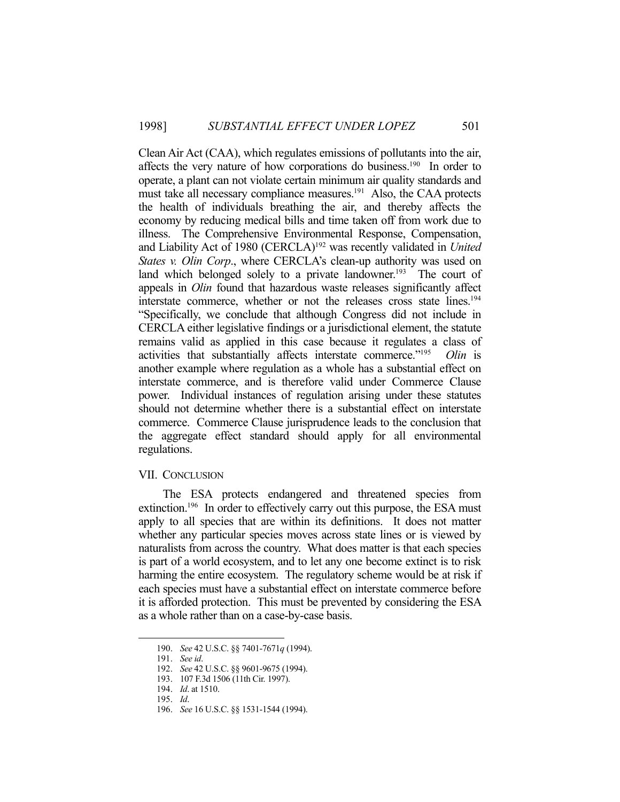Clean Air Act (CAA), which regulates emissions of pollutants into the air, affects the very nature of how corporations do business.<sup>190</sup> In order to operate, a plant can not violate certain minimum air quality standards and must take all necessary compliance measures.<sup>191</sup> Also, the CAA protects the health of individuals breathing the air, and thereby affects the economy by reducing medical bills and time taken off from work due to illness. The Comprehensive Environmental Response, Compensation, and Liability Act of 1980 (CERCLA)192 was recently validated in *United States v. Olin Corp*., where CERCLA's clean-up authority was used on land which belonged solely to a private landowner.<sup>193</sup> The court of appeals in *Olin* found that hazardous waste releases significantly affect interstate commerce, whether or not the releases cross state lines.194 "Specifically, we conclude that although Congress did not include in CERCLA either legislative findings or a jurisdictional element, the statute remains valid as applied in this case because it regulates a class of activities that substantially affects interstate commerce."195 *Olin* is another example where regulation as a whole has a substantial effect on interstate commerce, and is therefore valid under Commerce Clause power. Individual instances of regulation arising under these statutes should not determine whether there is a substantial effect on interstate commerce. Commerce Clause jurisprudence leads to the conclusion that the aggregate effect standard should apply for all environmental regulations.

# VII. CONCLUSION

 The ESA protects endangered and threatened species from extinction.<sup>196</sup> In order to effectively carry out this purpose, the ESA must apply to all species that are within its definitions. It does not matter whether any particular species moves across state lines or is viewed by naturalists from across the country. What does matter is that each species is part of a world ecosystem, and to let any one become extinct is to risk harming the entire ecosystem. The regulatory scheme would be at risk if each species must have a substantial effect on interstate commerce before it is afforded protection. This must be prevented by considering the ESA as a whole rather than on a case-by-case basis.

 <sup>190.</sup> *See* 42 U.S.C. §§ 7401-7671*q* (1994).

 <sup>191.</sup> *See id*.

 <sup>192.</sup> *See* 42 U.S.C. §§ 9601-9675 (1994).

 <sup>193. 107</sup> F.3d 1506 (11th Cir. 1997).

 <sup>194.</sup> *Id*. at 1510.

 <sup>195.</sup> *Id*.

 <sup>196.</sup> *See* 16 U.S.C. §§ 1531-1544 (1994).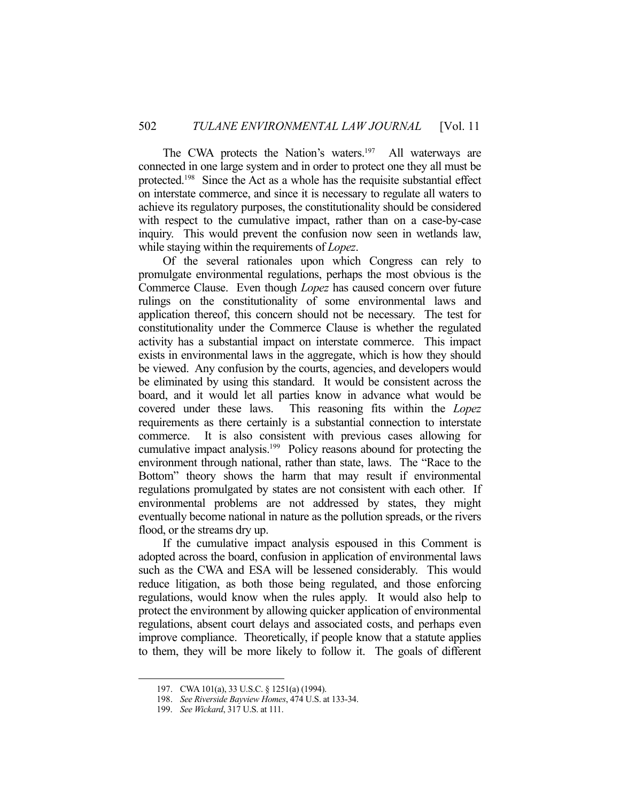The CWA protects the Nation's waters.<sup>197</sup> All waterways are connected in one large system and in order to protect one they all must be protected.198 Since the Act as a whole has the requisite substantial effect on interstate commerce, and since it is necessary to regulate all waters to achieve its regulatory purposes, the constitutionality should be considered with respect to the cumulative impact, rather than on a case-by-case inquiry. This would prevent the confusion now seen in wetlands law, while staying within the requirements of *Lopez*.

 Of the several rationales upon which Congress can rely to promulgate environmental regulations, perhaps the most obvious is the Commerce Clause. Even though *Lopez* has caused concern over future rulings on the constitutionality of some environmental laws and application thereof, this concern should not be necessary. The test for constitutionality under the Commerce Clause is whether the regulated activity has a substantial impact on interstate commerce. This impact exists in environmental laws in the aggregate, which is how they should be viewed. Any confusion by the courts, agencies, and developers would be eliminated by using this standard. It would be consistent across the board, and it would let all parties know in advance what would be covered under these laws. This reasoning fits within the *Lopez* requirements as there certainly is a substantial connection to interstate commerce. It is also consistent with previous cases allowing for cumulative impact analysis.199 Policy reasons abound for protecting the environment through national, rather than state, laws. The "Race to the Bottom" theory shows the harm that may result if environmental regulations promulgated by states are not consistent with each other. If environmental problems are not addressed by states, they might eventually become national in nature as the pollution spreads, or the rivers flood, or the streams dry up.

 If the cumulative impact analysis espoused in this Comment is adopted across the board, confusion in application of environmental laws such as the CWA and ESA will be lessened considerably. This would reduce litigation, as both those being regulated, and those enforcing regulations, would know when the rules apply. It would also help to protect the environment by allowing quicker application of environmental regulations, absent court delays and associated costs, and perhaps even improve compliance. Theoretically, if people know that a statute applies to them, they will be more likely to follow it. The goals of different

 <sup>197.</sup> CWA 101(a), 33 U.S.C. § 1251(a) (1994).

 <sup>198.</sup> *See Riverside Bayview Homes*, 474 U.S. at 133-34.

 <sup>199.</sup> *See Wickard*, 317 U.S. at 111.